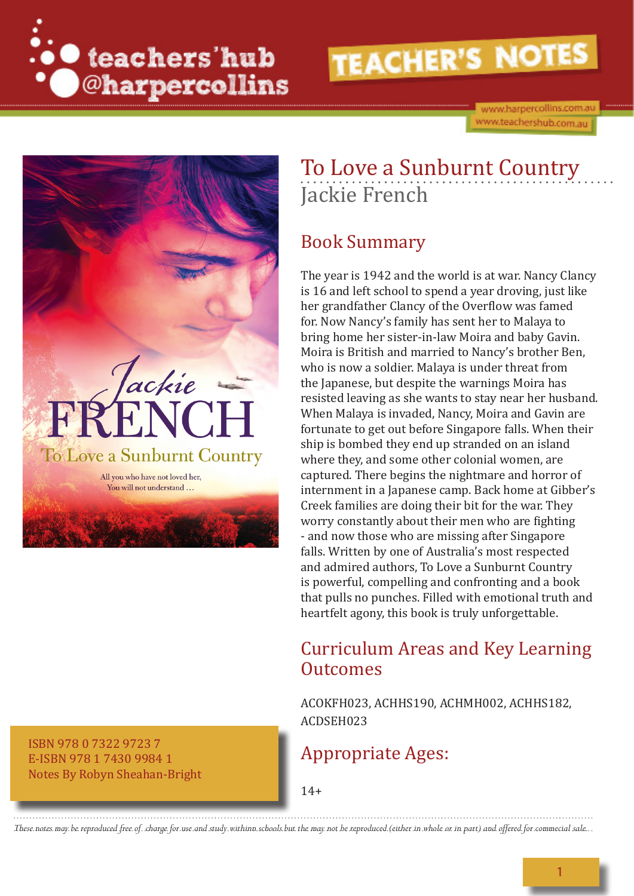

www.harpercollins.com.au www.teachershub.com.au



To Love a Sunburnt Country Jackie French

### Book Summary

The year is 1942 and the world is at war. Nancy Clancy is 16 and left school to spend a year droving, just like her grandfather Clancy of the Overflow was famed for. Now Nancy's family has sent her to Malaya to bring home her sister-in-law Moira and baby Gavin. Moira is British and married to Nancy's brother Ben, who is now a soldier. Malaya is under threat from the Japanese, but despite the warnings Moira has resisted leaving as she wants to stay near her husband. When Malaya is invaded, Nancy, Moira and Gavin are fortunate to get out before Singapore falls. When their ship is bombed they end up stranded on an island where they, and some other colonial women, are captured. There begins the nightmare and horror of internment in a Japanese camp. Back home at Gibber's Creek families are doing their bit for the war. They worry constantly about their men who are fighting - and now those who are missing after Singapore falls. Written by one of Australia's most respected and admired authors, To Love a Sunburnt Country is powerful, compelling and confronting and a book that pulls no punches. Filled with emotional truth and heartfelt agony, this book is truly unforgettable.

### Curriculum Areas and Key Learning **Outcomes**

ACOKFH023, ACHHS190, ACHMH002, ACHHS182, ACDSEH023

### Appropriate Ages:

E-ISBN 978 1 7430 9984 1 Notes By Robyn Sheahan-Bright

ISBN 978 0 7322 9723 7

14+

*These notes may be reproduced free of charge for use and study withinn schools but the may not be reproduced (either in whole or in part) and offered for commecial sale.*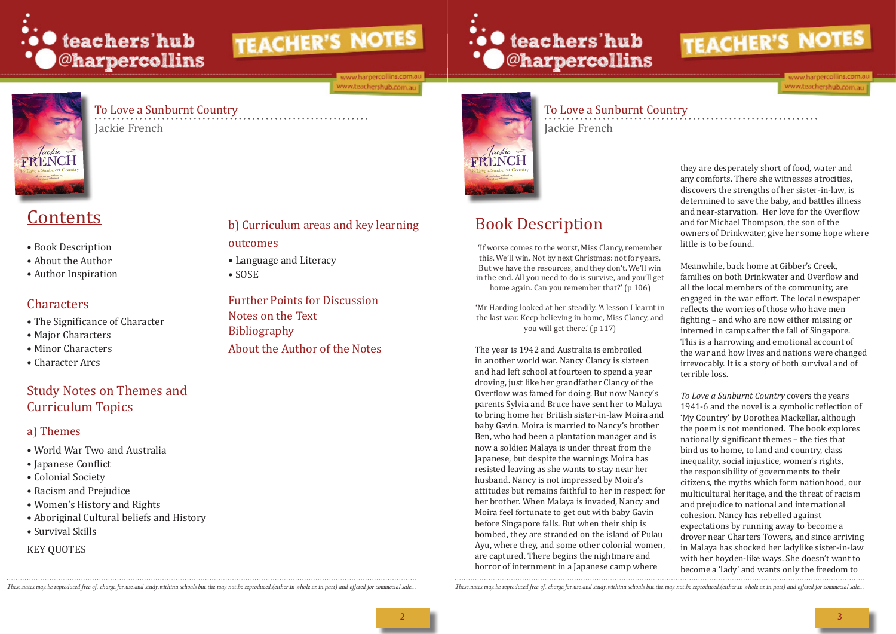

ww.harpercollins.com ww.teachershub.com.au

# ... teachers'hub **\* O**@harpercollins



### To Love a Sunburnt Country

Jackie French

To Love a Sunburnt Country Jackie French

# Contents

'If worse comes to the worst, Miss Clancy, remember this. We'll win. Not by next Christmas: not for years. But we have the resources, and they don't. We'll win in the end. All you need to do is survive, and you'll get home again. Can you remember that?' (p 106)

- Book Description
- About the Author
- Author Inspiration

## Characters

- The Significance of Character
- Major Characters
- Minor Characters
- Character Arcs

## Study Notes on Themes and Curriculum Topics

### a) Themes

- World War Two and Australia
- Japanese Conflict
- Colonial Society
- Racism and Prejudice
- Women's History and Rights
- Aboriginal Cultural beliefs and History
- Survival Skills

#### KEY QUOTES

# Book Description

lackie

'Mr Harding looked at her steadily. 'A lesson I learnt in the last war. Keep believing in home, Miss Clancy, and you will get there.' (p 117)

The year is 1942 and Australia is embroiled in another world war. Nancy Clancy is sixteen and had left school at fourteen to spend a year droving, just like her grandfather Clancy of the Overflow was famed for doing. But now Nancy's parents Sylvia and Bruce have sent her to Malaya to bring home her British sister-in-law Moira and baby Gavin. Moira is married to Nancy's brother Ben, who had been a plantation manager and is now a soldier. Malaya is under threat from the Japanese, but despite the warnings Moira has resisted leaving as she wants to stay near her husband. Nancy is not impressed by Moira's attitudes but remains faithful to her in respect for her brother. When Malaya is invaded, Nancy and Moira feel fortunate to get out with baby Gavin before Singapore falls. But when their ship is bombed, they are stranded on the island of Pulau Ayu, where they, and some other colonial women, are captured. There begins the nightmare and horror of internment in a Japanese camp where

These notes may be reproduced free of charge for use and study withinn schools but the may not be reproduced (either in whale or in part) and offered for commecial sale... These notes may be reproduced free of charge for u



they are desperately short of food, water and any comforts. There she witnesses atrocities, discovers the strengths of her sister-in-law, is determined to save the baby, and battles illness and near-starvation. Her love for the Overflow and for Michael Thompson, the son of the owners of Drinkwater, give her some hope where little is to be found.

Meanwhile, back home at Gibber's Creek, families on both Drinkwater and Overflow and all the local members of the community, are engaged in the war effort. The local newspaper reflects the worries of those who have men fighting – and who are now either missing or interned in camps after the fall of Singapore. This is a harrowing and emotional account of the war and how lives and nations were changed irrevocably. It is a story of both survival and of terrible loss.

*To Love a Sunburnt Country* covers the years 1941-6 and the novel is a symbolic reflection of 'My Country' by Dorothea Mackellar, although the poem is not mentioned. The book explores nationally significant themes – the ties that bind us to home, to land and country, class inequality, social injustice, women's rights, the responsibility of governments to their citizens, the myths which form nationhood, our multicultural heritage, and the threat of racism and prejudice to national and international cohesion. Nancy has rebelled against expectations by running away to become a drover near Charters Towers, and since arriving in Malaya has shocked her ladylike sister-in-law with her hoyden-like ways. She doesn't want to become a 'lady' and wants only the freedom to



outcomes

• Language and Literacy

• SOSE

Further Points for Discussion

Notes on the Text

Bibliography

About the Author of the Notes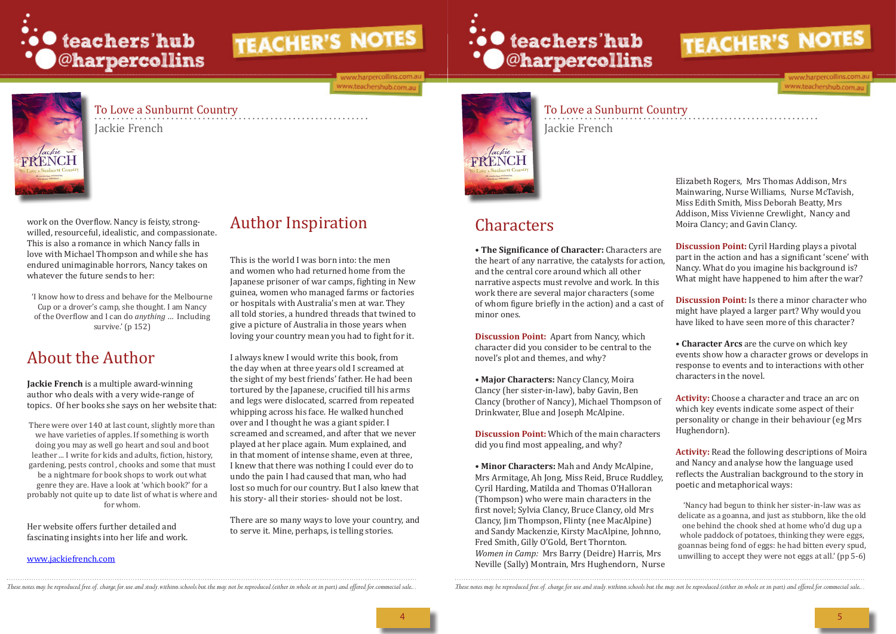

ww.harpercollins.com ww.teachershub.com.au

## To Love a Sunburnt Country

'I know how to dress and behave for the Melbourne Cup or a drover's camp, she thought. I am Nancy of the Overflow and I can do *anything* … Including survive.' (p 152)

Jackie French

To Love a Sunburnt Country Jackie French

work on the Overflow. Nancy is feisty, strongwilled, resourceful, idealistic, and compassionate. This is also a romance in which Nancy falls in love with Michael Thompson and while she has endured unimaginable horrors, Nancy takes on whatever the future sends to her:

# About the Author

**Jackie French** is a multiple award-winning author who deals with a very wide-range of topics. Of her books she says on her website that:

There were over 140 at last count, slightly more than we have varieties of apples. If something is worth doing you may as well go heart and soul and boot leather ... I write for kids and adults, fiction, history, gardening, pests control , chooks and some that must be a nightmare for book shops to work out what genre they are. Have a look at 'which book?' for a probably not quite up to date list of what is where and for whom.

Her website offers further detailed and fascinating insights into her life and work.

#### www.jackiefrench.com

# Author Inspiration

This is the world I was born into: the men and women who had returned home from the Japanese prisoner of war camps, fighting in New guinea, women who managed farms or factories or hospitals with Australia's men at war. They all told stories, a hundred threads that twined to give a picture of Australia in those years when loving your country mean you had to fight for it.

**Discussion Point:** Cyril Harding plays a pivotal part in the action and has a significant 'scene' with Nancy. What do you imagine his background is? What might have happened to him after the war?

I always knew I would write this book, from the day when at three years old I screamed at the sight of my best friends' father. He had been tortured by the Japanese, crucified till his arms and legs were dislocated, scarred from repeated whipping across his face. He walked hunched over and I thought he was a giant spider. I screamed and screamed, and after that we never played at her place again. Mum explained, and in that moment of intense shame, even at three, I knew that there was nothing I could ever do to undo the pain I had caused that man, who had lost so much for our country. But I also knew that his story- all their stories- should not be lost.

There are so many ways to love your country, and to serve it. Mine, perhaps, is telling stories.

# ∴• teachers'hub<br>• O@harpercollins



# Characters

**• The Significance of Character:** Characters are the heart of any narrative, the catalysts for action, and the central core around which all other narrative aspects must revolve and work. In this work there are several major characters (some of whom figure briefly in the action) and a cast of minor ones.

**Discussion Point:** Apart from Nancy, which character did you consider to be central to the novel's plot and themes, and why?

**• Major Characters:** Nancy Clancy, Moira Clancy (her sister-in-law), baby Gavin, Ben Clancy (brother of Nancy), Michael Thompson of Drinkwater, Blue and Joseph McAlpine.

**Discussion Point:** Which of the main characters did you find most appealing, and why?

**• Minor Characters:** Mah and Andy McAlpine, Mrs Armitage, Ah Jong, Miss Reid, Bruce Ruddley, Cyril Harding, Matilda and Thomas O'Halloran (Thompson) who were main characters in the first novel; Sylvia Clancy, Bruce Clancy, old Mrs Clancy, Jim Thompson, Flinty (nee MacAlpine) and Sandy Mackenzie, Kirsty MacAlpine, Johnno, Fred Smith, Gilly O'Gold, Bert Thornton. *Women in Camp:* Mrs Barry (Deidre) Harris, Mrs Neville (Sally) Montrain, Mrs Hughendorn, Nurse

These notes may be reproduced free of charge for use and study withinn schools but the may not be reproduced (either in whole or in part) and offered for commecial sale... These notes may be reproduced free of charge for u



Elizabeth Rogers, Mrs Thomas Addison, Mrs Mainwaring, Nurse Williams, Nurse McTavish, Miss Edith Smith, Miss Deborah Beatty, Mrs Addison, Miss Vivienne Crewlight, Nancy and Moira Clancy; and Gavin Clancy.

**Discussion Point:** Is there a minor character who might have played a larger part? Why would you have liked to have seen more of this character?

**• Character Arcs** are the curve on which key events show how a character grows or develops in response to events and to interactions with other characters in the novel.

**Activity:** Choose a character and trace an arc on which key events indicate some aspect of their personality or change in their behaviour (eg Mrs Hughendorn).

**Activity:** Read the following descriptions of Moira and Nancy and analyse how the language used reflects the Australian background to the story in poetic and metaphorical ways:

'Nancy had begun to think her sister-in-law was as delicate as a goanna, and just as stubborn, like the old one behind the chook shed at home who'd dug up a whole paddock of potatoes, thinking they were eggs, goannas being fond of eggs: he had bitten every spud, unwilling to accept they were not eggs at all.' (pp 5-6)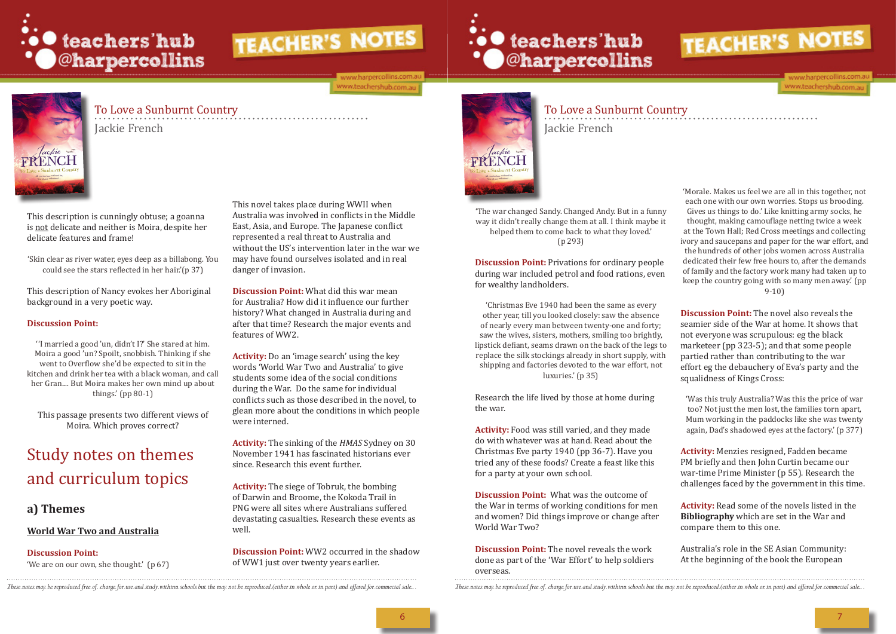

ww.harpercollins.com ww.teachershub.com.au

# ∴• teachers'hub<br>• C@harpercollins



## To Love a Sunburnt Country

Jackie French

To Love a Sunburnt Country Jackie French



This description is cunningly obtuse; a goanna is not delicate and neither is Moira, despite her delicate features and frame!

'Skin clear as river water, eyes deep as a billabong. You could see the stars reflected in her hair.'(p 37)

This description of Nancy evokes her Aboriginal background in a very poetic way.

#### **Discussion Point:**

''I married a good 'un, didn't I?' She stared at him. Moira a good 'un? Spoilt, snobbish. Thinking if she went to Overflow she'd be expected to sit in the kitchen and drink her tea with a black woman, and call her Gran.... But Moira makes her own mind up about things.' (pp 80-1)

This passage presents two different views of Moira. Which proves correct?

# Study notes on themes and curriculum topics

#### **a) Themes**

#### **World War Two and Australia**

#### **Discussion Point:**

'We are on our own, she thought.' (p 67)

'Christmas Eve 1940 had been the same as every other year, till you looked closely: saw the absence of nearly every man between twenty-one and forty; saw the wives, sisters, mothers, smiling too brightly, lipstick defiant, seams drawn on the back of the legs to replace the silk stockings already in short supply, with shipping and factories devoted to the war effort, not luxuries.' (p 35)

This novel takes place during WWII when Australia was involved in conflicts in the Middle East, Asia, and Europe. The Japanese conflict represented a real threat to Australia and without the US's intervention later in the war we may have found ourselves isolated and in real danger of invasion.

**Discussion Point:** What did this war mean for Australia? How did it influence our further history? What changed in Australia during and after that time? Research the major events and features of WW2.

**Activity:** Do an 'image search' using the key words 'World War Two and Australia' to give students some idea of the social conditions during the War. Do the same for individual conflicts such as those described in the novel, to glean more about the conditions in which people were interned.

**Activity:** The sinking of the *HMAS* Sydney on 30 November 1941 has fascinated historians ever since. Research this event further.

**Activity:** The siege of Tobruk, the bombing of Darwin and Broome, the Kokoda Trail in PNG were all sites where Australians suffered devastating casualties. Research these events as well.

**Discussion Point:** WW2 occurred in the shadow of WW1 just over twenty years earlier.



'The war changed Sandy. Changed Andy. But in a funny way it didn't really change them at all. I think maybe it helped them to come back to what they loved.' (p 293)

**Discussion Point:** Privations for ordinary people during war included petrol and food rations, even for wealthy landholders.

Research the life lived by those at home during the war.

**Activity:** Food was still varied, and they made do with whatever was at hand. Read about the Christmas Eve party 1940 (pp 36-7). Have you tried any of these foods? Create a feast like this for a party at your own school.

**Discussion Point:** What was the outcome of the War in terms of working conditions for men and women? Did things improve or change after World War Two?

**Discussion Point:** The novel reveals the work done as part of the 'War Effort' to help soldiers overseas.

These notes may be reproduced free of charge for use and study withinn schools but the may not be reproduced (either in whale or in part) and affered for commecial sale.. These notes may be reproduced free of charge for us



ww.harpercollins.cor www.teachershub.com.au

'Morale. Makes us feel we are all in this together, not each one with our own worries. Stops us brooding. Gives us things to do.' Like knitting army socks, he thought, making camouflage netting twice a week at the Town Hall; Red Cross meetings and collecting ivory and saucepans and paper for the war effort, and the hundreds of other jobs women across Australia dedicated their few free hours to, after the demands of family and the factory work many had taken up to keep the country going with so many men away.' (pp 9-10)

**Discussion Point:** The novel also reveals the seamier side of the War at home. It shows that not everyone was scrupulous: eg the black marketeer (pp 323-5); and that some people partied rather than contributing to the war effort eg the debauchery of Eva's party and the squalidness of Kings Cross:

'Was this truly Australia? Was this the price of war too? Not just the men lost, the families torn apart, Mum working in the paddocks like she was twenty again, Dad's shadowed eyes at the factory.' (p 377)

**Activity:** Menzies resigned, Fadden became PM briefly and then John Curtin became our war-time Prime Minister (p 55). Research the challenges faced by the government in this time.

**Activity:** Read some of the novels listed in the **Bibliography** which are set in the War and compare them to this one.

Australia's role in the SE Asian Community: At the beginning of the book the European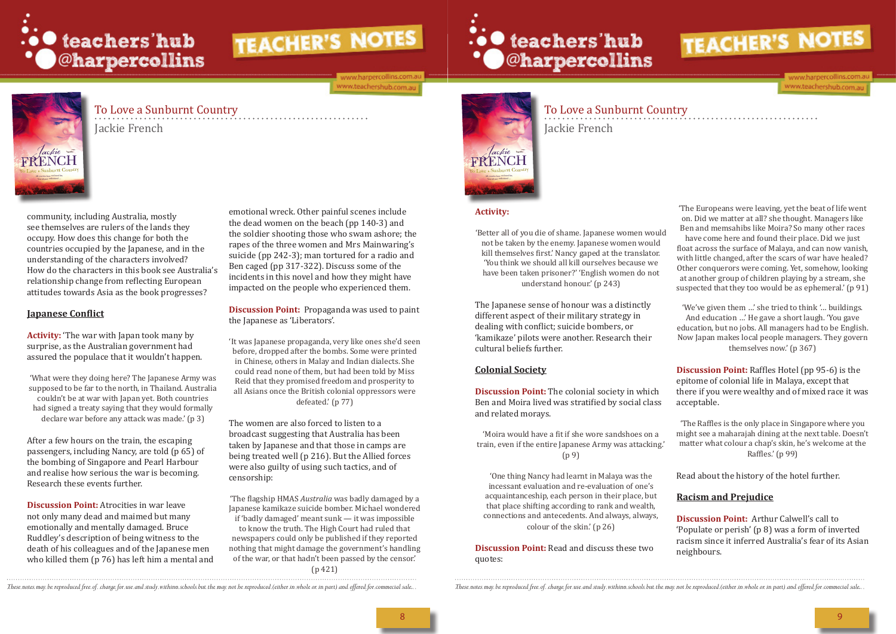

ww.harpercollins.com www.teachershub.com.au

# ∴• teachers'hub<br>• C@harpercollins



## To Love a Sunburnt Country

Jackie French

## To Love a Sunburnt Country Jackie French

'It was Japanese propaganda, very like ones she'd seen before, dropped after the bombs. Some were printed in Chinese, others in Malay and Indian dialects. She could read none of them, but had been told by Miss Reid that they promised freedom and prosperity to all Asians once the British colonial oppressors were defeated.' (p 77)

emotional wreck. Other painful scenes include the dead women on the beach (pp 140-3) and the soldier shooting those who swam ashore; the rapes of the three women and Mrs Mainwaring's suicide (pp 242-3); man tortured for a radio and Ben caged (pp 317-322). Discuss some of the incidents in this novel and how they might have impacted on the people who experienced them.

**Discussion Point:** Propaganda was used to paint the Japanese as 'Liberators'.

The women are also forced to listen to a broadcast suggesting that Australia has been taken by Japanese and that those in camps are being treated well (p 216). But the Allied forces were also guilty of using such tactics, and of censorship:

'The flagship HMAS *Australia* was badly damaged by a Japanese kamikaze suicide bomber. Michael wondered

if 'badly damaged' meant sunk — it was impossible to know the truth. The High Court had ruled that newspapers could only be published if they reported nothing that might damage the government's handling of the war, or that hadn't been passed by the censor.' (p 421)



community, including Australia, mostly see themselves are rulers of the lands they occupy. How does this change for both the countries occupied by the Japanese, and in the understanding of the characters involved? How do the characters in this book see Australia's relationship change from reflecting European attitudes towards Asia as the book progresses?

'The Europeans were leaving, yet the beat of life went on. Did we matter at all? she thought. Managers like Ben and memsahibs like Moira? So many other races have come here and found their place. Did we just float across the surface of Malaya, and can now vanish, with little changed, after the scars of war have healed? Other conquerors were coming. Yet, somehow, looking at another group of children playing by a stream, she suspected that they too would be as ephemeral.' (p 91)

#### **Japanese Conflict**

**Activity:** 'The war with Japan took many by surprise, as the Australian government had assured the populace that it wouldn't happen.

'What were they doing here? The Japanese Army was supposed to be far to the north, in Thailand. Australia couldn't be at war with Japan yet. Both countries had signed a treaty saying that they would formally declare war before any attack was made.' (p 3)

'The Raffles is the only place in Singapore where you might see a maharajah dining at the next table. Doesn't matter what colour a chap's skin, he's welcome at the Raffles.' (p 99)

After a few hours on the train, the escaping passengers, including Nancy, are told (p 65) of the bombing of Singapore and Pearl Harbour and realise how serious the war is becoming. Research these events further.

**Discussion Point:** Atrocities in war leave not only many dead and maimed but many emotionally and mentally damaged. Bruce Ruddley's description of being witness to the death of his colleagues and of the Japanese men who killed them (p 76) has left him a mental and

#### **Activity:**

'Better all of you die of shame. Japanese women would not be taken by the enemy. Japanese women would kill themselves first.' Nancy gaped at the translator. 'You think we should all kill ourselves because we have been taken prisoner?' 'English women do not understand honour.' (p 243)

The Japanese sense of honour was a distinctly different aspect of their military strategy in dealing with conflict; suicide bombers, or 'kamikaze' pilots were another. Research their cultural beliefs further.

#### **Colonial Society**

**Discussion Point:** The colonial society in which Ben and Moira lived was stratified by social class and related morays.

'Moira would have a fit if she wore sandshoes on a train, even if the entire Japanese Army was attacking.' (p 9)

'One thing Nancy had learnt in Malaya was the incessant evaluation and re-evaluation of one's acquaintanceship, each person in their place, but that place shifting according to rank and wealth, connections and antecedents. And always, always, colour of the skin.' (p 26)

**Discussion Point:** Read and discuss these two quotes:

These notes may be reproduced free of charge for use and study withinn schools but the may not be reproduced (either in whole or in part) and offered for commecial sale... These notes may be reproduced free of charge for u



www.harpercollins.com www.teachershub.com.au

'We've given them …' she tried to think '… buildings. And education …' He gave a short laugh. 'You gave education, but no jobs. All managers had to be English. Now Japan makes local people managers. They govern themselves now.' (p 367)

**Discussion Point:** Raffles Hotel (pp 95-6) is the epitome of colonial life in Malaya, except that there if you were wealthy and of mixed race it was acceptable.

Read about the history of the hotel further.

#### **Racism and Prejudice**

**Discussion Point:** Arthur Calwell's call to 'Populate or perish' (p 8) was a form of inverted racism since it inferred Australia's fear of its Asian neighbours.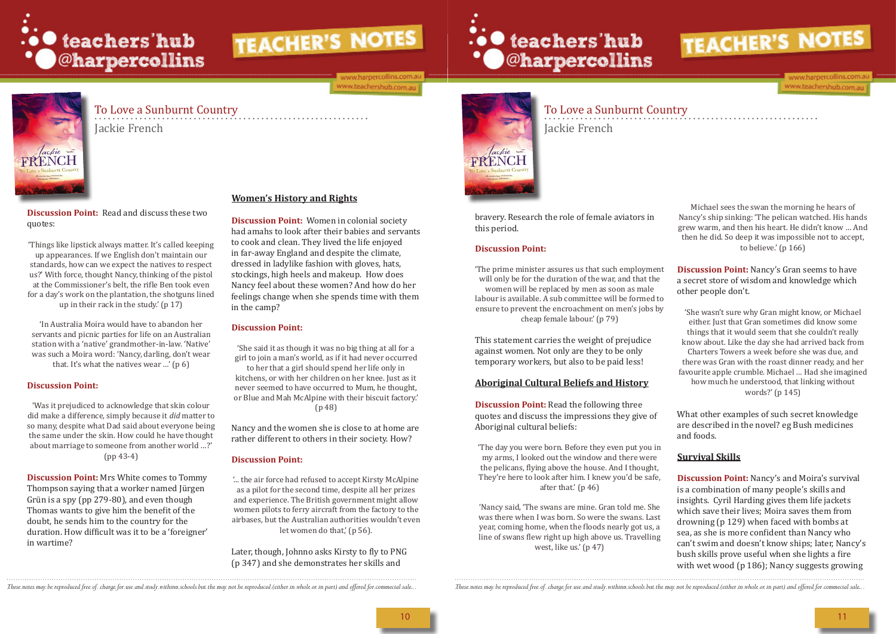

#### ww.harpercollins.com www.teachershub.com.au

# ∴• teachers'hub<br>• O@harpercollins



## To Love a Sunburnt Country

Jackie French

To Love a Sunburnt Country Jackie French

'In Australia Moira would have to abandon her servants and picnic parties for life on an Australian station with a 'native' grandmother-in-law. 'Native' was such a Moira word: 'Nancy, darling, don't wear that. It's what the natives wear ...' ( $p \theta$ )

**Discussion Point:** Read and discuss these two quotes:

'Things like lipstick always matter. It's called keeping up appearances. If we English don't maintain our standards, how can we expect the natives to respect us?' With force, thought Nancy, thinking of the pistol at the Commissioner's belt, the rifle Ben took even for a day's work on the plantation, the shotguns lined up in their rack in the study.' (p 17)

#### **Discussion Point:**

'Was it prejudiced to acknowledge that skin colour did make a difference, simply because it *did* matter to so many, despite what Dad said about everyone being the same under the skin. How could he have thought about marriage to someone from another world …?' (pp 43-4)

> '... the air force had refused to accept Kirsty McAlpine as a pilot for the second time, despite all her prizes and experience. The British government might allow women pilots to ferry aircraft from the factory to the airbases, but the Australian authorities wouldn't even let women do that,' (p 56).

'The prime minister assures us that such employment will only be for the duration of the war, and that the women will be replaced by men as soon as male labour is available. A sub committee will be formed to ensure to prevent the encroachment on men's jobs by cheap female labour.' (p 79)

**Discussion Point:** Mrs White comes to Tommy Thompson saying that a worker named Jürgen Grün is a spy (pp 279-80), and even though Thomas wants to give him the benefit of the doubt, he sends him to the country for the duration. How difficult was it to be a 'foreigner' in wartime?

#### **Women's History and Rights**

**Discussion Point:** Read the following three quotes and discuss the impressions they give of Aboriginal cultural beliefs:

**Discussion Point:** Women in colonial society had amahs to look after their babies and servants to cook and clean. They lived the life enjoyed in far-away England and despite the climate, dressed in ladylike fashion with gloves, hats, stockings, high heels and makeup. How does Nancy feel about these women? And how do her feelings change when she spends time with them in the camp?

#### **Discussion Point:**

'She said it as though it was no big thing at all for a girl to join a man's world, as if it had never occurred to her that a girl should spend her life only in kitchens, or with her children on her knee. Just as it never seemed to have occurred to Mum, he thought, or Blue and Mah McAlpine with their biscuit factory.' (p 48)

Nancy and the women she is close to at home are rather different to others in their society. How?

#### **Discussion Point:**

Later, though, Johnno asks Kirsty to fly to PNG (p 347) and she demonstrates her skills and



bravery. Research the role of female aviators in this period.

#### **Discussion Point:**

This statement carries the weight of prejudice against women. Not only are they to be only temporary workers, but also to be paid less!

#### **Aboriginal Cultural Beliefs and History**

'The day you were born. Before they even put you in my arms, I looked out the window and there were the pelicans, flying above the house. And I thought, They're here to look after him. I knew you'd be safe, after that.' (p 46)

'Nancy said, 'The swans are mine. Gran told me. She was there when I was born. So were the swans. Last year, coming home, when the floods nearly got us, a line of swans flew right up high above us. Travelling west, like us.' (p 47)

These notes may be reproduced free of charge for use and study withinn schools but the may not be reproduced (either in whole or in part) and offered for commecial sale... These notes may be reproduced free of charge for u



www.harpercollins.com www.teachershub.com.au

Michael sees the swan the morning he hears of Nancy's ship sinking: 'The pelican watched. His hands grew warm, and then his heart. He didn't know … And then he did. So deep it was impossible not to accept, to believe.' (p 166)

**Discussion Point:** Nancy's Gran seems to have a secret store of wisdom and knowledge which other people don't.

'She wasn't sure why Gran might know, or Michael either. Just that Gran sometimes did know some things that it would seem that she couldn't really know about. Like the day she had arrived back from Charters Towers a week before she was due, and there was Gran with the roast dinner ready, and her favourite apple crumble. Michael … Had she imagined how much he understood, that linking without words?' (p 145)

What other examples of such secret knowledge are described in the novel? eg Bush medicines and foods.

#### **Survival Skills**

**Discussion Point:** Nancy's and Moira's survival is a combination of many people's skills and insights. Cyril Harding gives them life jackets which save their lives; Moira saves them from drowning (p 129) when faced with bombs at sea, as she is more confident than Nancy who can't swim and doesn't know ships; later, Nancy's bush skills prove useful when she lights a fire with wet wood (p 186); Nancy suggests growing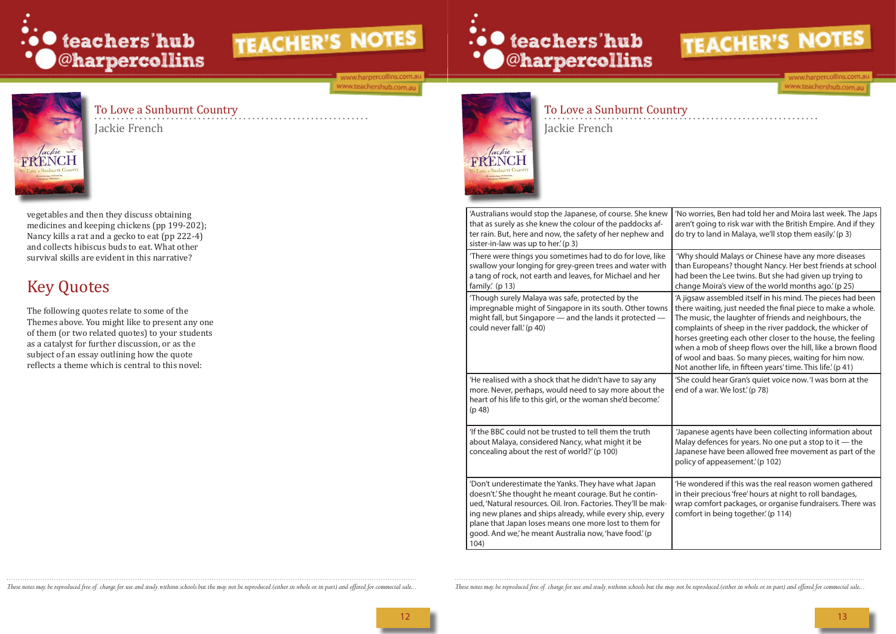

ww.harpercollins.com.a www.teachershub.com.au



## To Love a Sunburnt Country

Jackie French

To Love a Sunburnt Country Jackie French

vegetables and then they discuss obtaining medicines and keeping chickens (pp 199-202); Nancy kills a rat and a gecko to eat (pp 222-4) and collects hibiscus buds to eat. What other survival skills are evident in this narrative?

# Key Quotes

The following quotes relate to some of the Themes above. You might like to present any one of them (or two related quotes) to your students as a catalyst for further discussion, or as the subject of an essay outlining how the quote reflects a theme which is central to this novel:





'A jigsaw assembled itself in his mind. The pieces had been there waiting, just needed the final piece to make a whole. The music, the laughter of friends and neighbours, the complaints of sheep in the river paddock, the whicker of horses greeting each other closer to the house, the feeling when a mob of sheep flows over the hill, like a brown flood of wool and baas. So many pieces, waiting for him now. Not another life, in fifteen years' time. This life.' (p 41)

'No worries, Ben had told her and Moira last week. The Japs aren't going to risk war with the British Empire. And if they do try to land in Malaya, we'll stop them easily.' (p 3)

'She could hear Gran's quiet voice now. 'I was born at the end of a war. We lost.' (p 78)

 'Why should Malays or Chinese have any more diseases than Europeans? thought Nancy. Her best friends at school had been the Lee twins. But she had given up trying to change Moira's view of the world months ago.' (p 25)

'He wondered if this was the real reason women gathered in their precious 'free' hours at night to roll bandages, wrap comfort packages, or organise fundraisers. There was comfort in being together.' (p 114)

|  | 'Australians would stop the Japanese, of course. She knew<br>that as surely as she knew the colour of the paddocks af-<br>ter rain. But, here and now, the safety of her nephew and<br>sister-in-law was up to her.' (p 3)                                                                                                                                                |  |
|--|---------------------------------------------------------------------------------------------------------------------------------------------------------------------------------------------------------------------------------------------------------------------------------------------------------------------------------------------------------------------------|--|
|  | 'There were things you sometimes had to do for love, like<br>swallow your longing for grey-green trees and water with<br>a tang of rock, not earth and leaves, for Michael and her<br>family.' (p 13)                                                                                                                                                                     |  |
|  | 'Though surely Malaya was safe, protected by the<br>impregnable might of Singapore in its south. Other towns<br>might fall, but Singapore – and the lands it protected –<br>could never fall.' (p 40)                                                                                                                                                                     |  |
|  | 'He realised with a shock that he didn't have to say any<br>more. Never, perhaps, would need to say more about the<br>heart of his life to this girl, or the woman she'd become.'<br>(p 48)                                                                                                                                                                               |  |
|  | 'If the BBC could not be trusted to tell them the truth<br>about Malaya, considered Nancy, what might it be<br>concealing about the rest of world?' (p 100)                                                                                                                                                                                                               |  |
|  | 'Don't underestimate the Yanks. They have what Japan<br>doesn't.' She thought he meant courage. But he contin-<br>ued, 'Natural resources. Oil. Iron. Factories. They'll be mak-<br>ing new planes and ships already, while every ship, every<br>plane that Japan loses means one more lost to them for<br>good. And we,' he meant Australia now, 'have food.' (p<br>104) |  |

These notes may be reproduced free of charge for use and study withinn schools but the may not be reproduced (either in whale or in part) and offered for commecial sale.. These notes may be reproduced free of charge for us



www.harpercollins.com www.teachershub.com.au

 'Japanese agents have been collecting information about Malay defences for years. No one put a stop to it  $-$  the Japanese have been allowed free movement as part of the policy of appeasement.' (p 102)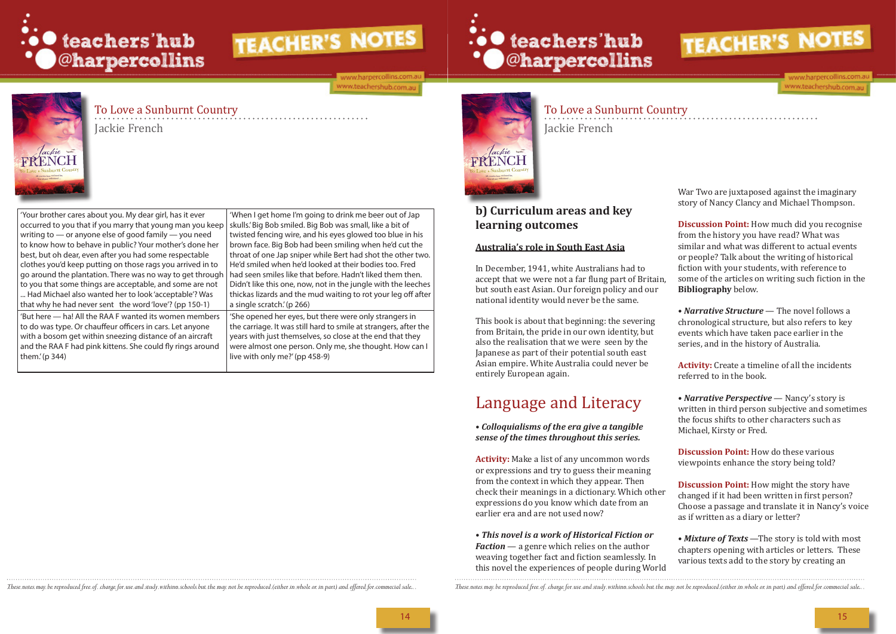

#### ww.harpercollins.com.a ww.teachershub.com.au

# .. O teachers'hub **\*** @harpercollins

 $\widehat{\text{FRENCH}}$ 

## To Love a Sunburnt Country

Jackie French

To Love a Sunburnt Country Jackie French

'When I get home I'm going to drink me beer out of Jap twisted fencing wire, and his eyes glowed too blue in his brown face. Big Bob had been smiling when he'd cut the throat of one Jap sniper while Bert had shot the other two. He'd smiled when he'd looked at their bodies too. Fred had seen smiles like that before. Hadn't liked them then. Didn't like this one, now, not in the jungle with the leeches thickas lizards and the mud waiting to rot your leg off after a single scratch.' (p 266)

'Your brother cares about you. My dear girl, has it ever occurred to you that if you marry that young man you keep | skulls.'Big Bob smiled. Big Bob was small, like a bit of writing to — or anyone else of good family — you need to know how to behave in public? Your mother's done her best, but oh dear, even after you had some respectable clothes you'd keep putting on those rags you arrived in to go around the plantation. There was no way to get through to you that some things are acceptable, and some are not ... Had Michael also wanted her to look 'acceptable'? Was that why he had never sent the word 'love'? (pp 150-1) 'But here — ha! All the RAA F wanted its women members to do was type. Or chauffeur officers in cars. Let anyone with a bosom get within sneezing distance of an aircraft and the RAA F had pink kittens. She could fly rings around them.' (p 344)

'She opened her eyes, but there were only strangers in the carriage. It was still hard to smile at strangers, after the years with just themselves, so close at the end that they were almost one person. Only me, she thought. How can I live with only me?' (pp 458-9)



• *Narrative Perspective* — Nancy's story is written in third person subjective and sometimes the focus shifts to other characters such as Michael, Kirsty or Fred.

#### **b) Curriculum areas and key learning outcomes**

#### **Australia's role in South East Asia**

In December, 1941, white Australians had to accept that we were not a far flung part of Britain, but south east Asian. Our foreign policy and our national identity would never be the same.

This book is about that beginning: the severing from Britain, the pride in our own identity, but also the realisation that we were seen by the Japanese as part of their potential south east Asian empire. White Australia could never be entirely European again.

# Language and Literacy

#### • *Colloquialisms of the era give a tangible sense of the times throughout this series.*

**Activity:** Make a list of any uncommon words or expressions and try to guess their meaning from the context in which they appear. Then check their meanings in a dictionary. Which other expressions do you know which date from an earlier era and are not used now?

• *This novel is a work of Historical Fiction or Faction* — a genre which relies on the author weaving together fact and fiction seamlessly. In this novel the experiences of people during World

These notes may be reproduced free of charge for use and study withinn schools but the may not be reproduced (either in whale or in part) and offered for commecial sale.. These notes may be reproduced free of charge for us



ww.harpercollins.com

www.teachershub.com.au

War Two are juxtaposed against the imaginary story of Nancy Clancy and Michael Thompson.

**Discussion Point:** How much did you recognise from the history you have read? What was similar and what was different to actual events or people? Talk about the writing of historical fiction with your students, with reference to some of the articles on writing such fiction in the **Bibliography** below.

• *Narrative Structure* — The novel follows a chronological structure, but also refers to key events which have taken pace earlier in the series, and in the history of Australia.

**Activity:** Create a timeline of all the incidents referred to in the book.

**Discussion Point:** How do these various viewpoints enhance the story being told?

**Discussion Point:** How might the story have changed if it had been written in first person? Choose a passage and translate it in Nancy's voice as if written as a diary or letter?

• *Mixture of Texts* —The story is told with most chapters opening with articles or letters. These various texts add to the story by creating an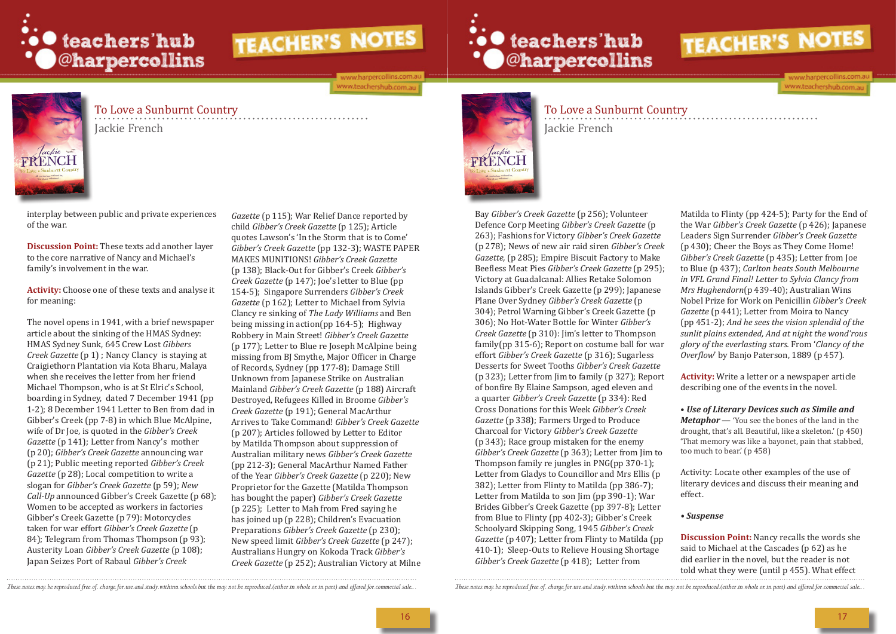

ww.harpercollins.com ww.teachershub.com.au

# .. O teachers'hub **\*** © © harpercollins



## To Love a Sunburnt Country

Jackie French

To Love a Sunburnt Country Jackie French

interplay between public and private experiences of the war.

**Discussion Point:** These texts add another layer to the core narrative of Nancy and Michael's family's involvement in the war.

**Activity:** Choose one of these texts and analyse it for meaning:

The novel opens in 1941, with a brief newspaper article about the sinking of the HMAS Sydney: HMAS Sydney Sunk, 645 Crew Lost *Gibbers Creek Gazette* (p 1) ; Nancy Clancy is staying at Craigiethorn Plantation via Kota Bharu, Malaya when she receives the letter from her friend Michael Thompson, who is at St Elric's School, boarding in Sydney, dated 7 December 1941 (pp 1-2); 8 December 1941 Letter to Ben from dad in Gibber's Creek (pp 7-8) in which Blue McAlpine, wife of Dr Joe, is quoted in the *Gibber's Creek Gazette* (p 141); Letter from Nancy's mother (p 20); *Gibber's Creek Gazette* announcing war (p 21); Public meeting reported *Gibber's Creek Gazette* (p 28); Local competition to write a slogan for *Gibber's Creek Gazette* (p 59); *New Call-Up* announced Gibber's Creek Gazette (p 68); Women to be accepted as workers in factories Gibber's Creek Gazette (p 79): Motorcycles taken for war effort *Gibber's Creek Gazette* (p 84); Telegram from Thomas Thompson (p 93); Austerity Loan *Gibber's Creek Gazette* (p 108); Japan Seizes Port of Rabaul *Gibber's Creek* 

*Gazette* (p 115); War Relief Dance reported by child *Gibber's Creek Gazette* (p 125); Article quotes Lawson's 'In the Storm that is to Come' *Gibber's Creek Gazette* (pp 132-3); WASTE PAPER MAKES MUNITIONS! *Gibber's Creek Gazette* (p 138); Black-Out for Gibber's Creek *Gibber's Creek Gazette* (p 147); Joe's letter to Blue (pp 154-5); Singapore Surrenders *Gibber's Creek Gazette* (p 162); Letter to Michael from Sylvia Clancy re sinking of *The Lady Williams* and Ben being missing in action(pp 164-5); Highway Robbery in Main Street! *Gibber's Creek Gazette* (p 177); Letter to Blue re Joseph McAlpine being missing from BJ Smythe, Major Officer in Charge of Records, Sydney (pp 177-8); Damage Still Unknown from Japanese Strike on Australian Mainland *Gibber's Creek Gazette* (p 188) Aircraft Destroyed, Refugees Killed in Broome *Gibber's Creek Gazette* (p 191); General MacArthur Arrives to Take Command! *Gibber's Creek Gazette*  (p 207); Articles followed by Letter to Editor by Matilda Thompson about suppression of Australian military news *Gibber's Creek Gazette* (pp 212-3); General MacArthur Named Father of the Year *Gibber's Creek Gazette* (p 220); New Proprietor for the Gazette (Matilda Thompson has bought the paper) *Gibber's Creek Gazette*  (p 225); Letter to Mah from Fred saying he has joined up (p 228); Children's Evacuation Preparations *Gibber's Creek Gazette* (p 230); New speed limit *Gibber's Creek Gazette* (p 247); Australians Hungry on Kokoda Track *Gibber's Creek Gazette* (p 252); Australian Victory at Milne



Bay *Gibber's Creek Gazette* (p 256); Volunteer Defence Corp Meeting *Gibber's Creek Gazette* (p 263); Fashions for Victory *Gibber's Creek Gazette* (p 278); News of new air raid siren *Gibber's Creek Gazette,* (p 285); Empire Biscuit Factory to Make Beefless Meat Pies *Gibber's Creek Gazette* (p 295); Victory at Guadalcanal: Allies Retake Solomon Islands Gibber's Creek Gazette (p 299); Japanese Plane Over Sydney *Gibber's Creek Gazette* (p 304); Petrol Warning Gibber's Creek Gazette (p 306); No Hot-Water Bottle for Winter *Gibber's Creek Gazette* (p 310): Jim's letter to Thompson family(pp 315-6); Report on costume ball for war effort *Gibber's Creek Gazette* (p 316); Sugarless Desserts for Sweet Tooths *Gibber's Creek Gazette* (p 323); Letter from Jim to family (p 327); Report of bonfire By Elaine Sampson, aged eleven and a quarter *Gibber's Creek Gazette* (p 334): Red Cross Donations for this Week *Gibber's Creek Gazette* (p 338); Farmers Urged to Produce Charcoal for Victory *Gibber's Creek Gazette* (p 343); Race group mistaken for the enemy *Gibber's Creek Gazette* (p 363); Letter from Jim to Thompson family re jungles in PNG(pp 370-1); Letter from Gladys to Councillor and Mrs Ellis (p 382); Letter from Flinty to Matilda (pp 386-7); Letter from Matilda to son Jim (pp 390-1); War Brides Gibber's Creek Gazette (pp 397-8); Letter from Blue to Flinty (pp 402-3); Gibber's Creek Schoolyard Skipping Song, 1945 *Gibber's Creek Gazette* (p 407); Letter from Flinty to Matilda (pp 410-1); Sleep-Outs to Relieve Housing Shortage *Gibber's Creek Gazette* (p 418); Letter from

These notes may be reproduced free of charge for use and study withinn schools but the may not be reproduced (either in whole or in part) and offered for commecial sale... These notes may be reproduced free of charge for u



ww.harpercollins.com www.teachershub.com.au

Matilda to Flinty (pp 424-5); Party for the End of the War *Gibber's Creek Gazette* (p 426); Japanese Leaders Sign Surrender *Gibber's Creek Gazette* (p 430); Cheer the Boys as They Come Home! *Gibber's Creek Gazette* (p 435); Letter from Joe to Blue (p 437); *Carlton beats South Melbourne in VFL Grand Final! Letter to Sylvia Clancy from Mrs Hughendorn*(p 439-40); Australian Wins Nobel Prize for Work on Penicillin *Gibber's Creek Gazette* (p 441); Letter from Moira to Nancy (pp 451-2); *And he sees the vision splendid of the sunlit plains extended, And at night the wond'rous glory of the everlasting stars.* From '*Clancy of the Overflow*' by Banjo Paterson, 1889 (p 457).

**Activity:** Write a letter or a newspaper article describing one of the events in the novel.

• *Use of Literary Devices such as Simile and Metaphor* — 'You see the bones of the land in the drought, that's all. Beautiful, like a skeleton.' (p 450) 'That memory was like a bayonet, pain that stabbed, too much to bear.' (p 458)

Activity: Locate other examples of the use of literary devices and discuss their meaning and effect.

#### *• Suspense*

**Discussion Point:** Nancy recalls the words she said to Michael at the Cascades (p 62) as he did earlier in the novel, but the reader is not told what they were (until p 455). What effect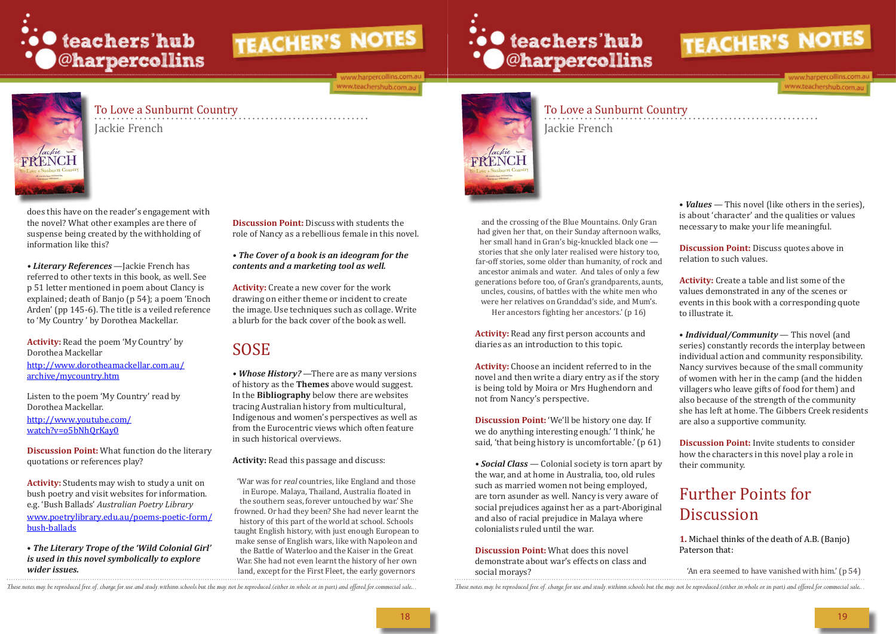

#### ww.harpercollins.com www.teachershub.com.au

# ∴• teachers'hub<br>• © ©harpercollins



## To Love a Sunburnt Country

Jackie French

To Love a Sunburnt Country Jackie French

does this have on the reader's engagement with the novel? What other examples are there of suspense being created by the withholding of information like this?

*• Literary References* —Jackie French has referred to other texts in this book, as well. See p 51 letter mentioned in poem about Clancy is explained; death of Banjo (p 54); a poem 'Enoch Arden' (pp 145-6). The title is a veiled reference to 'My Country ' by Dorothea Mackellar.

**Activity:** Read the poem 'My Country' by Dorothea Mackellar http://www.dorotheamackellar.com.au/ archive/mycountry.htm

Listen to the poem 'My Country' read by Dorothea Mackellar. http://www.youtube.com/ watch?v=o5bNhQrKay0

**Discussion Point:** What function do the literary quotations or references play?

**Activity:** Students may wish to study a unit on bush poetry and visit websites for information. e.g. 'Bush Ballads' *Australian Poetry Library*  www.poetrylibrary.edu.au/poems-poetic-form/ bush-ballads

and the crossing of the Blue Mountains. Only Gran had given her that, on their Sunday afternoon walks, her small hand in Gran's big-knuckled black one stories that she only later realised were history too, far-off stories, some older than humanity, of rock and ancestor animals and water. And tales of only a few generations before too, of Gran's grandparents, aunts, uncles, cousins, of battles with the white men who were her relatives on Granddad's side, and Mum's. Her ancestors fighting her ancestors.' (p 16)

• *The Literary Trope of the 'Wild Colonial Girl' is used in this novel symbolically to explore wider issues.*

**Discussion Point:** Discuss with students the role of Nancy as a rebellious female in this novel.

*• The Cover of a book is an ideogram for the contents and a marketing tool as well.* 

**Activity:** Create a new cover for the work drawing on either theme or incident to create the image. Use techniques such as collage. Write a blurb for the back cover of the book as well.

> **Discussion Point:** 'We'll be history one day. If we do anything interesting enough.' 'I think,' he said, 'that being history is uncomfortable.' (p 61)

## SOSE

• **Social Class** — Colonial society is torn apart by the war, and at home in Australia, too, old rules such as married women not being employed, are torn asunder as well. Nancy is very aware of social prejudices against her as a part-Aboriginal and also of racial prejudice in Malaya where colonialists ruled until the war.

*• Whose History?* —There are as many versions of history as the **Themes** above would suggest. In the **Bibliography** below there are websites tracing Australian history from multicultural, Indigenous and women's perspectives as well as from the Eurocentric views which often feature in such historical overviews.

• *Values* — This novel (like others in the series), is about 'character' and the qualities or values necessary to make your life meaningful.

**Discussion Point:** Discuss quotes above in relation to such values.

**Activity:** Read this passage and discuss:

• *Individual/Community* — This novel (and series) constantly records the interplay between individual action and community responsibility. Nancy survives because of the small community of women with her in the camp (and the hidden villagers who leave gifts of food for them) and also because of the strength of the community she has left at home. The Gibbers Creek residents are also a supportive community.

'War was for *real* countries, like England and those in Europe. Malaya, Thailand, Australia floated in the southern seas, forever untouched by war.' She frowned. Or had they been? She had never learnt the history of this part of the world at school. Schools taught English history, with just enough European to make sense of English wars, like with Napoleon and the Battle of Waterloo and the Kaiser in the Great War. She had not even learnt the history of her own land, except for the First Fleet, the early governors



# Further Points for **Discussion**

. These notes may be reproduced free of charge for use and study withinn schools but the may not be reproduced (either in whale or in part) and offered for commecial sale. These notes may be reproduced free of charge for u social morays? 'An era seemed to have vanished with him.' (p 54)



**Activity:** Read any first person accounts and diaries as an introduction to this topic.

**Activity:** Choose an incident referred to in the novel and then write a diary entry as if the story is being told by Moira or Mrs Hughendorn and not from Nancy's perspective.

**Discussion Point:** What does this novel demonstrate about war's effects on class and **Activity:** Create a table and list some of the values demonstrated in any of the scenes or events in this book with a corresponding quote to illustrate it.

**Discussion Point:** Invite students to consider how the characters in this novel play a role in their community.

#### **1.** Michael thinks of the death of A.B. (Banjo) Paterson that: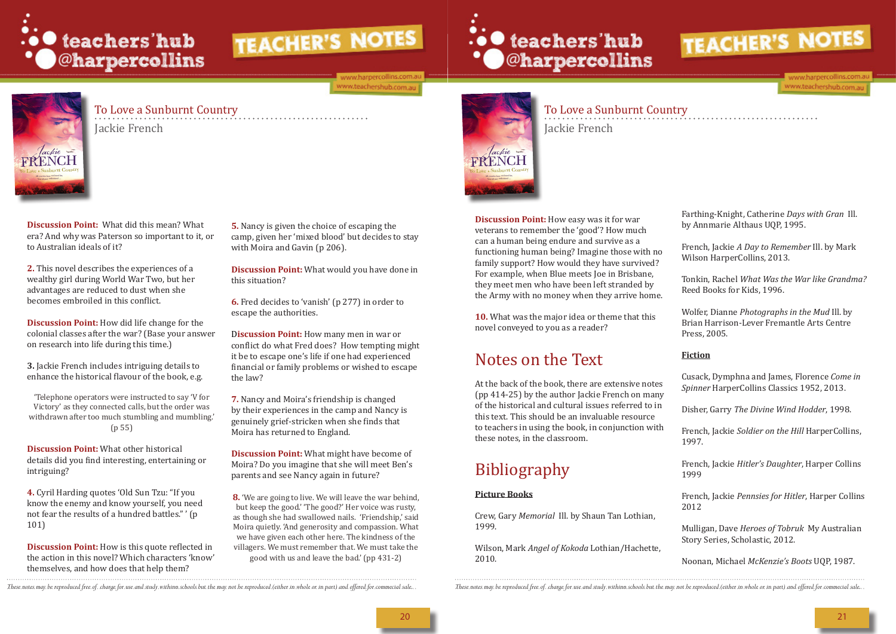

#### ww.harpercollins.com.a vww.teachershub.com.au

![](_page_10_Picture_3.jpeg)

## To Love a Sunburnt Country

Jackie French

To Love a Sunburnt Country Jackie French

**Discussion Point:** What did this mean? What era? And why was Paterson so important to it, or to Australian ideals of it?

**2.** This novel describes the experiences of a wealthy girl during World War Two, but her advantages are reduced to dust when she becomes embroiled in this conflict.

**5.** Nancy is given the choice of escaping the camp, given her 'mixed blood' but decides to stay with Moira and Gavin (p 206).

**Discussion Point:** How did life change for the colonial classes after the war? (Base your answer on research into life during this time.)

**3.** Jackie French includes intriguing details to enhance the historical flavour of the book, e.g.

'Telephone operators were instructed to say 'V for Victory' as they connected calls, but the order was withdrawn after too much stumbling and mumbling.' (p 55)

**Discussion Point:** What other historical details did you find interesting, entertaining or intriguing?

**4.** Cyril Harding quotes 'Old Sun Tzu: "If you know the enemy and know yourself, you need not fear the results of a hundred battles." ' (p 101)

**Discussion Point:** How is this quote reflected in the action in this novel? Which characters 'know' themselves, and how does that help them?

**Discussion Point:** What would you have done in this situation?

**6.** Fred decides to 'vanish' (p 277) in order to escape the authorities.

D**iscussion Point:** How many men in war or conflict do what Fred does? How tempting might it be to escape one's life if one had experienced financial or family problems or wished to escape the law?

**7.** Nancy and Moira's friendship is changed by their experiences in the camp and Nancy is genuinely grief-stricken when she finds that Moira has returned to England.

**Discussion Point:** What might have become of Moira? Do you imagine that she will meet Ben's parents and see Nancy again in future?

**8.** 'We are going to live. We will leave the war behind, but keep the good.' 'The good?' Her voice was rusty, as though she had swallowed nails. 'Friendship,' said Moira quietly. 'And generosity and compassion. What we have given each other here. The kindness of the villagers. We must remember that. We must take the

good with us and leave the bad.' (pp 431-2)

![](_page_10_Picture_22.jpeg)

**Discussion Point:** How easy was it for war veterans to remember the 'good'? How much can a human being endure and survive as a functioning human being? Imagine those with no family support? How would they have survived? For example, when Blue meets Joe in Brisbane, they meet men who have been left stranded by the Army with no money when they arrive home.

∴• teachers'hub<br>• O@harpercollins

**10.** What was the major idea or theme that this novel conveyed to you as a reader?

# Notes on the Text

At the back of the book, there are extensive notes (pp 414-25) by the author Jackie French on many of the historical and cultural issues referred to in this text. This should be an invaluable resource to teachers in using the book, in conjunction with these notes, in the classroom.

# Bibliography

#### **Picture Books**

Crew, Gary *Memorial* Ill. by Shaun Tan Lothian, 1999.

Wilson, Mark *Angel of Kokoda* Lothian/Hachette, 2010.

. These notes may be reproduced free of charge for use and study withinn schools but the may not be reproduced (either in whole or in part) and offered for commecial sale. These notes may be reproduced free of charge for u

![](_page_10_Picture_35.jpeg)

www.harpercollins.com www.teachershub.com.au

Farthing-Knight, Catherine *Days with Gran* Ill. by Annmarie Althaus UQP, 1995.

French, Jackie *A Day to Remember* Ill. by Mark Wilson HarperCollins, 2013.

Tonkin, Rachel *What Was the War like Grandma?* Reed Books for Kids, 1996.

Wolfer, Dianne *Photographs in the Mud* Ill. by Brian Harrison-Lever Fremantle Arts Centre Press, 2005.

#### **Fiction**

Cusack, Dymphna and James, Florence *Come in Spinner* HarperCollins Classics 1952, 2013.

Disher, Garry *The Divine Wind Hodder*, 1998.

French, Jackie *Soldier on the Hill* HarperCollins, 1997.

French, Jackie *Hitler's Daughter*, Harper Collins 1999

French, Jackie *Pennsies for Hitler*, Harper Collins 2012

Mulligan, Dave *Heroes of Tobruk* My Australian Story Series, Scholastic, 2012.

Noonan, Michael *McKenzie's Boots* UQP, 1987.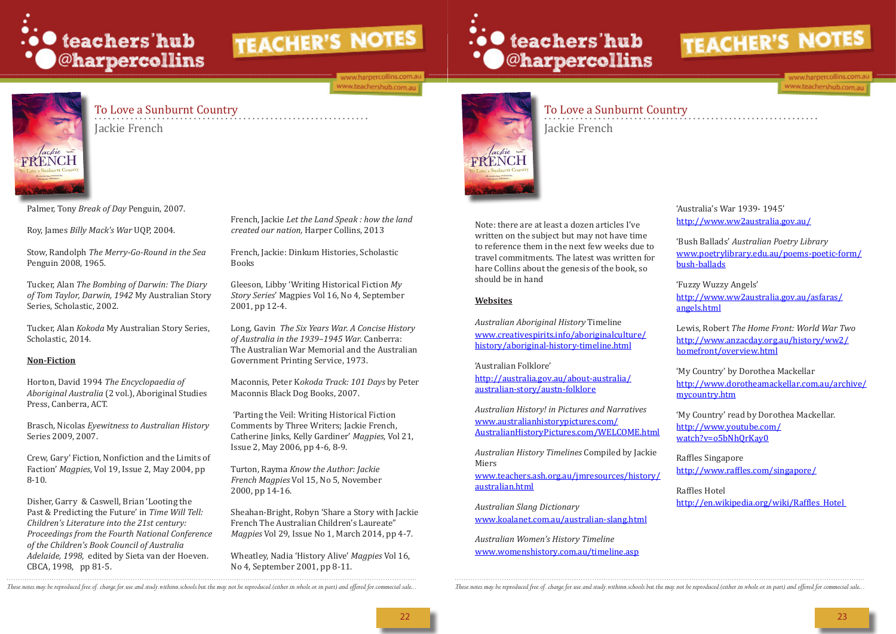![](_page_11_Picture_0.jpeg)

ww.harpercollins.com.a www.teachershub.com.au

![](_page_11_Picture_3.jpeg)

# To Love a Sunburnt Country

Jackie French

To Love a Sunburnt Country Jackie French

Palmer, Tony *Break of Day* Penguin, 2007.

Roy, James *Billy Mack's War* UQP, 2004.

Stow, Randolph *The Merry-Go-Round in the Sea*  Penguin 2008, 1965.

Tucker, Alan *The Bombing of Darwin: The Diary of Tom Taylor, Darwin, 1942* My Australian Story Series, Scholastic, 2002.

Tucker, Alan *Kokoda* My Australian Story Series, Scholastic, 2014.

#### **Non-Fiction**

Horton, David 1994 *The Encyclopaedia of Aboriginal Australia* (2 vol.), Aboriginal Studies Press, Canberra, ACT.

Brasch, Nicolas *Eyewitness to Australian History*  Series 2009, 2007.

Crew, Gary' Fiction, Nonfiction and the Limits of Faction' *Magpies*, Vol 19, Issue 2, May 2004, pp 8-10.

Disher, Garry & Caswell, Brian 'Looting the Past & Predicting the Future' in *Time Will Tell: Children's Literature into the 21st century: Proceedings from the Fourth National Conference of the Children's Book Council of Australia Adelaide, 1998,* edited by Sieta van der Hoeven. CBCA, 1998, pp 81-5.

French, Jackie *Let the Land Speak : how the land created our nation*, Harper Collins, 2013

French, Jackie: Dinkum Histories, Scholastic Books

Gleeson, Libby 'Writing Historical Fiction *My Story Series*' Magpies Vol 16, No 4, September 2001, pp 12-4.

Long, Gavin *The Six Years War. A Concise History of Australia in the 1939–1945 War.* Canberra: The Australian War Memorial and the Australian Government Printing Service, 1973.

Maconnis, Peter K*okoda Track: 101 Days* by Peter Maconnis Black Dog Books, 2007.

> 'My Country' read by Dorothea Mackellar. http://www.youtube.com/ watch?v=o5bNh0rKay0

 'Parting the Veil: Writing Historical Fiction Comments by Three Writers; Jackie French, Catherine Jinks, Kelly Gardiner' *Magpies*, Vol 21, Issue 2, May 2006, pp 4-6, 8-9.

Turton, Rayma *Know the Author: Jackie French Magpies* Vol 15, No 5, November 2000, pp 14-16.

Sheahan-Bright, Robyn 'Share a Story with Jackie French The Australian Children's Laureate" *Magpies* Vol 29, Issue No 1, March 2014, pp 4-7.

Wheatley, Nadia 'History Alive' *Magpies* Vol 16, No 4, September 2001, pp 8-11.

![](_page_11_Picture_25.jpeg)

![](_page_11_Picture_26.jpeg)

Note: there are at least a dozen articles I've written on the subject but may not have time to reference them in the next few weeks due to travel commitments. The latest was written for hare Collins about the genesis of the book, so should be in hand

#### **Websites**

*Australian Aboriginal History* Timeline www.creativespirits.info/aboriginalculture/ history/aboriginal-history-timeline.html

'Australian Folklore'

http://australia.gov.au/about-australia/ australian-story/austn-folklore

*Australian History! in Pictures and Narratives*  www.australianhistorypictures.com/ AustralianHistoryPictures.com/WELCOME.html

*Australian History Timelines* Compiled by Jackie Miers

www.teachers.ash.org.au/jmresources/history/ australian.html

*Australian Slang Dictionary* www.koalanet.com.au/australian-slang.html

*Australian Women's History Timeline*  www.womenshistory.com.au/timeline.asp

. These notes may be reproduced free of charge for use and study withinn schools but the may not be reproduced (either in whole or in part) and offered for commecial sale. These notes may be reproduced free of charge for u

![](_page_11_Picture_41.jpeg)

www.harpercollins.com. www.teachershub.com.au

'Australia's War 1939- 1945' http://www.ww2australia.gov.au/

'Bush Ballads' *Australian Poetry Library* www.poetrylibrary.edu.au/poems-poetic-form/ bush-ballads

'Fuzzy Wuzzy Angels' http://www.ww2australia.gov.au/asfaras/ angels.html

Lewis, Robert *The Home Front: World War Two*  http://www.anzacday.org.au/history/ww2/ homefront/overview.html

'My Country' by Dorothea Mackellar http://www.dorotheamackellar.com.au/archive/ mycountry.htm

Raffles Singapore http://www.raffles.com/singapore/

Raffles Hotel http://en.wikipedia.org/wiki/Raffles\_Hotel